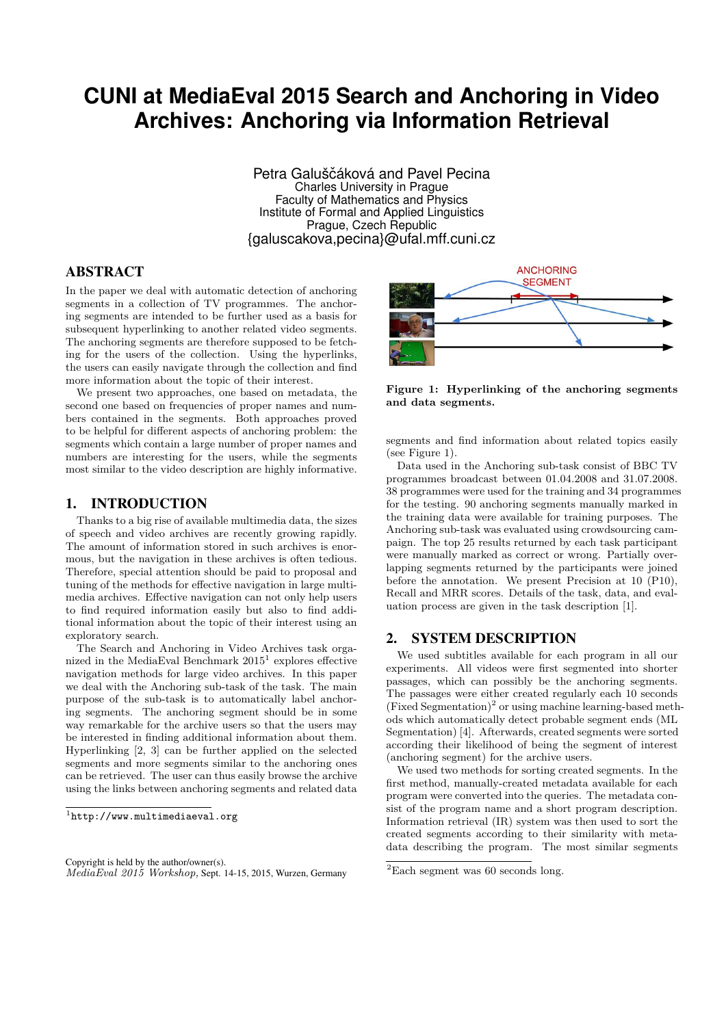# **CUNI at MediaEval 2015 Search and Anchoring in Video Archives: Anchoring via Information Retrieval**

Petra Galuščáková and Pavel Pecina Charles University in Prague Faculty of Mathematics and Physics Institute of Formal and Applied Linguistics Prague, Czech Republic {galuscakova,pecina}@ufal.mff.cuni.cz

## ABSTRACT

In the paper we deal with automatic detection of anchoring segments in a collection of TV programmes. The anchoring segments are intended to be further used as a basis for subsequent hyperlinking to another related video segments. The anchoring segments are therefore supposed to be fetching for the users of the collection. Using the hyperlinks, the users can easily navigate through the collection and find more information about the topic of their interest.

We present two approaches, one based on metadata, the second one based on frequencies of proper names and numbers contained in the segments. Both approaches proved to be helpful for different aspects of anchoring problem: the segments which contain a large number of proper names and numbers are interesting for the users, while the segments most similar to the video description are highly informative.

## 1. INTRODUCTION

Thanks to a big rise of available multimedia data, the sizes of speech and video archives are recently growing rapidly. The amount of information stored in such archives is enormous, but the navigation in these archives is often tedious. Therefore, special attention should be paid to proposal and tuning of the methods for effective navigation in large multimedia archives. Effective navigation can not only help users to find required information easily but also to find additional information about the topic of their interest using an exploratory search.

The Search and Anchoring in Video Archives task organized in the MediaEval Benchmark  $2015<sup>1</sup>$  explores effective navigation methods for large video archives. In this paper we deal with the Anchoring sub-task of the task. The main purpose of the sub-task is to automatically label anchoring segments. The anchoring segment should be in some way remarkable for the archive users so that the users may be interested in finding additional information about them. Hyperlinking [2, 3] can be further applied on the selected segments and more segments similar to the anchoring ones can be retrieved. The user can thus easily browse the archive using the links between anchoring segments and related data



**Figure 1: Hyperlinking of the anchoring segments and data segments.**

segments and find information about related topics easily (see Figure 1).

Data used in the Anchoring sub-task consist of BBC TV programmes broadcast between 01.04.2008 and 31.07.2008. 38 programmes were used for the training and 34 programmes for the testing. 90 anchoring segments manually marked in the training data were available for training purposes. The Anchoring sub-task was evaluated using crowdsourcing campaign. The top 25 results returned by each task participant were manually marked as correct or wrong. Partially overlapping segments returned by the participants were joined before the annotation. We present Precision at 10 (P10), Recall and MRR scores. Details of the task, data, and evaluation process are given in the task description [1].

## 2. SYSTEM DESCRIPTION

We used subtitles available for each program in all our experiments. All videos were first segmented into shorter passages, which can possibly be the anchoring segments. The passages were either created regularly each 10 seconds  $(Fixed Segmentation)<sup>2</sup>$  or using machine learning-based methods which automatically detect probable segment ends (ML Segmentation) [4]. Afterwards, created segments were sorted according their likelihood of being the segment of interest (anchoring segment) for the archive users.

We used two methods for sorting created segments. In the first method, manually-created metadata available for each program were converted into the queries. The metadata consist of the program name and a short program description. Information retrieval (IR) system was then used to sort the created segments according to their similarity with metadata describing the program. The most similar segments

<sup>1</sup> http://www.multimediaeval.org

Copyright is held by the author/owner(s). *MediaEval 2015 Workshop,* Sept. 14-15, 2015, Wurzen, Germany

 ${}^{2}$ Each segment was 60 seconds long.